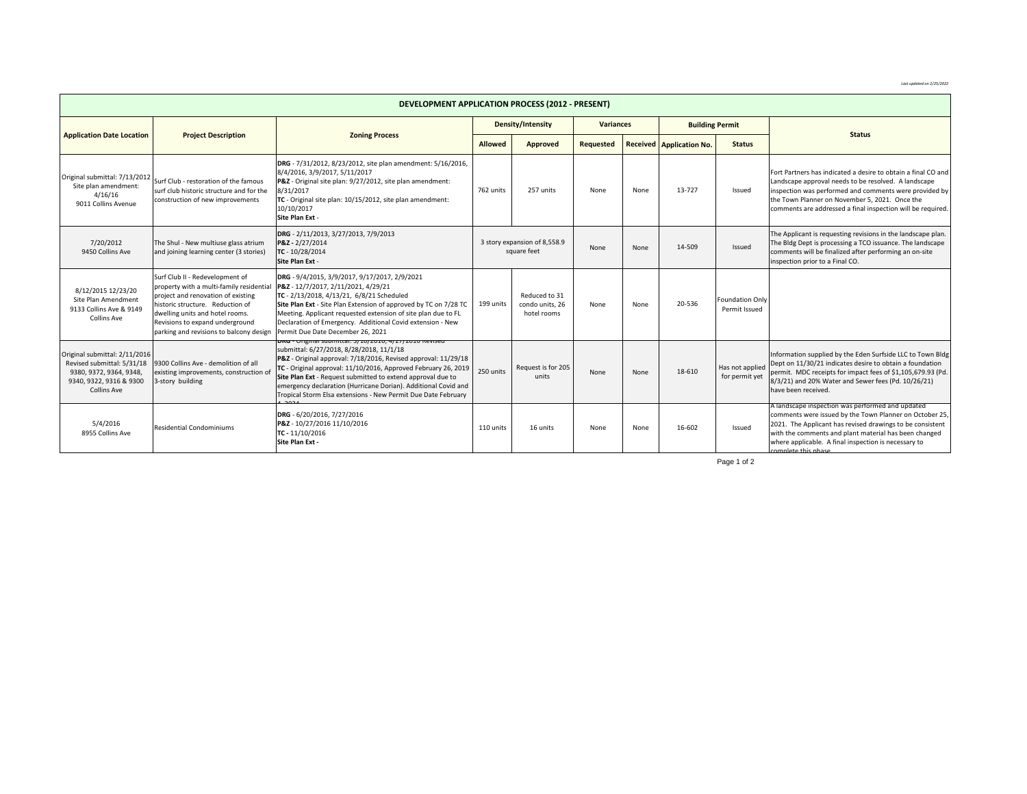*Last updated on 2/25/2022*

| <b>DEVELOPMENT APPLICATION PROCESS (2012 - PRESENT)</b>                                                                                 |                                                                                                                                                                                                                                                                        |                                                                                                                                                                                                                                                                                                                                                                                                                                          |                                             |                                                 |                  |      |                                 |                                         |                                                                                                                                                                                                                                                                                                                 |  |  |
|-----------------------------------------------------------------------------------------------------------------------------------------|------------------------------------------------------------------------------------------------------------------------------------------------------------------------------------------------------------------------------------------------------------------------|------------------------------------------------------------------------------------------------------------------------------------------------------------------------------------------------------------------------------------------------------------------------------------------------------------------------------------------------------------------------------------------------------------------------------------------|---------------------------------------------|-------------------------------------------------|------------------|------|---------------------------------|-----------------------------------------|-----------------------------------------------------------------------------------------------------------------------------------------------------------------------------------------------------------------------------------------------------------------------------------------------------------------|--|--|
| <b>Application Date Location</b>                                                                                                        |                                                                                                                                                                                                                                                                        |                                                                                                                                                                                                                                                                                                                                                                                                                                          | Density/Intensity                           |                                                 | <b>Variances</b> |      | <b>Building Permit</b>          |                                         |                                                                                                                                                                                                                                                                                                                 |  |  |
|                                                                                                                                         | <b>Project Description</b>                                                                                                                                                                                                                                             | <b>Zoning Process</b>                                                                                                                                                                                                                                                                                                                                                                                                                    | <b>Allowed</b>                              | Approved                                        | Requested        |      | <b>Received Application No.</b> | <b>Status</b>                           | <b>Status</b>                                                                                                                                                                                                                                                                                                   |  |  |
| Original submittal: 7/13/2012<br>Site plan amendment:<br>4/16/16<br>9011 Collins Avenue                                                 | Surf Club - restoration of the famous<br>surf club historic structure and for the<br>construction of new improvements                                                                                                                                                  | DRG - 7/31/2012, 8/23/2012, site plan amendment: 5/16/2016,<br>8/4/2016, 3/9/2017, 5/11/2017<br>P&Z - Original site plan: 9/27/2012, site plan amendment:<br>8/31/2017<br>TC - Original site plan: 10/15/2012, site plan amendment:<br>10/10/2017<br>Site Plan Ext -                                                                                                                                                                     | 762 units                                   | 257 units                                       | None             | None | 13-727                          | Issued                                  | Fort Partners has indicated a desire to obtain a final CO and<br>Landscape approval needs to be resolved. A landscape<br>inspection was performed and comments were provided by<br>the Town Planner on November 5, 2021. Once the<br>comments are addressed a final inspection will be required.                |  |  |
| 7/20/2012<br>9450 Collins Ave                                                                                                           | The Shul - New multiuse glass atrium<br>and joining learning center (3 stories)                                                                                                                                                                                        | DRG - 2/11/2013, 3/27/2013, 7/9/2013<br>P&Z - 2/27/2014<br>TC - 10/28/2014<br>Site Plan Ext -                                                                                                                                                                                                                                                                                                                                            | 3 story expansion of 8,558.9<br>square feet |                                                 | None             | None | 14-509                          | Issued                                  | The Applicant is requesting revisions in the landscape plan.<br>The Bldg Dept is processing a TCO issuance. The landscape<br>comments will be finalized after performing an on-site<br>inspection prior to a Final CO.                                                                                          |  |  |
| 8/12/2015 12/23/20<br>Site Plan Amendment<br>9133 Collins Ave & 9149<br><b>Collins Ave</b>                                              | Surf Club II - Redevelopment of<br>property with a multi-family residential<br>project and renovation of existing<br>historic structure. Reduction of<br>dwelling units and hotel rooms.<br>Revisions to expand underground<br>parking and revisions to balcony design | DRG - 9/4/2015, 3/9/2017, 9/17/2017, 2/9/2021<br>P&Z - 12/7/2017, 2/11/2021, 4/29/21<br>TC - 2/13/2018, 4/13/21, 6/8/21 Scheduled<br>Site Plan Ext - Site Plan Extension of approved by TC on 7/28 TC<br>Meeting. Applicant requested extension of site plan due to FL<br>Declaration of Emergency. Additional Covid extension - New<br>Permit Due Date December 26, 2021                                                                | 199 units                                   | Reduced to 31<br>condo units, 26<br>hotel rooms | None             | None | 20-536                          | <b>Foundation Only</b><br>Permit Issued |                                                                                                                                                                                                                                                                                                                 |  |  |
| Original submittal: 2/11/2016<br>Revised submittal: 5/31/18<br>9380, 9372, 9364, 9348,<br>9340, 9322, 9316 & 9300<br><b>Collins Ave</b> | 9300 Collins Ave - demolition of all<br>existing improvements, construction of<br>3-story building                                                                                                                                                                     | DRG - Original submittal: 3/10/2016, 4/27/2016 Revised<br>submittal: 6/27/2018, 8/28/2018, 11/1/18<br>P&Z - Original approval: 7/18/2016, Revised approval: 11/29/18<br>TC - Original approval: 11/10/2016, Approved February 26, 2019<br>Site Plan Ext - Request submitted to extend approval due to<br>emergency declaration (Hurricane Dorian). Additional Covid and<br>Tropical Storm Elsa extensions - New Permit Due Date February | 250 units                                   | Request is for 205<br>units                     | None             | None | 18-610                          | Has not applied<br>for permit yet       | Information supplied by the Eden Surfside LLC to Town Bldg<br>Dept on 11/30/21 indicates desire to obtain a foundation<br>permit. MDC receipts for impact fees of \$1,105,679.93 (Pd.<br>8/3/21) and 20% Water and Sewer fees (Pd. 10/26/21)<br>have been received.                                             |  |  |
| 5/4/2016<br>8955 Collins Ave                                                                                                            | <b>Residential Condominiums</b>                                                                                                                                                                                                                                        | DRG - 6/20/2016, 7/27/2016<br>P&Z - 10/27/2016 11/10/2016<br>TC-11/10/2016<br>Site Plan Ext -                                                                                                                                                                                                                                                                                                                                            | 110 units                                   | 16 units                                        | None             | None | 16-602                          | Issued                                  | A landscape inspection was performed and updated<br>comments were issued by the Town Planner on October 25.<br>2021. The Applicant has revised drawings to be consistent<br>with the comments and plant material has been changed<br>where applicable. A final inspection is necessary to<br>omplete this phase |  |  |

Page 1 of 2